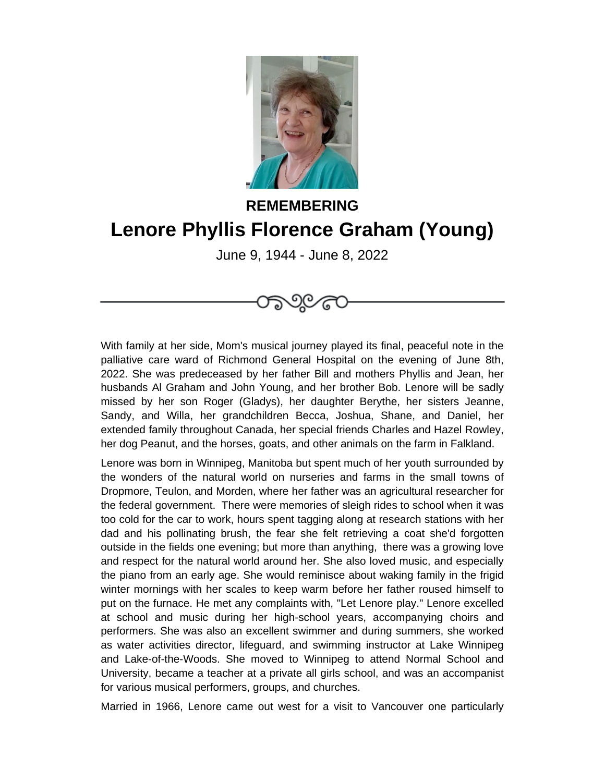

## **REMEMBERING Lenore Phyllis Florence Graham (Young)**

June 9, 1944 - June 8, 2022



With family at her side, Mom's musical journey played its final, peaceful note in the palliative care ward of Richmond General Hospital on the evening of June 8th, 2022. She was predeceased by her father Bill and mothers Phyllis and Jean, her husbands Al Graham and John Young, and her brother Bob. Lenore will be sadly missed by her son Roger (Gladys), her daughter Berythe, her sisters Jeanne, Sandy, and Willa, her grandchildren Becca, Joshua, Shane, and Daniel, her extended family throughout Canada, her special friends Charles and Hazel Rowley, her dog Peanut, and the horses, goats, and other animals on the farm in Falkland.

Lenore was born in Winnipeg, Manitoba but spent much of her youth surrounded by the wonders of the natural world on nurseries and farms in the small towns of Dropmore, Teulon, and Morden, where her father was an agricultural researcher for the federal government. There were memories of sleigh rides to school when it was too cold for the car to work, hours spent tagging along at research stations with her dad and his pollinating brush, the fear she felt retrieving a coat she'd forgotten outside in the fields one evening; but more than anything, there was a growing love and respect for the natural world around her. She also loved music, and especially the piano from an early age. She would reminisce about waking family in the frigid winter mornings with her scales to keep warm before her father roused himself to put on the furnace. He met any complaints with, "Let Lenore play." Lenore excelled at school and music during her high-school years, accompanying choirs and performers. She was also an excellent swimmer and during summers, she worked as water activities director, lifeguard, and swimming instructor at Lake Winnipeg and Lake-of-the-Woods. She moved to Winnipeg to attend Normal School and University, became a teacher at a private all girls school, and was an accompanist for various musical performers, groups, and churches.

Married in 1966, Lenore came out west for a visit to Vancouver one particularly